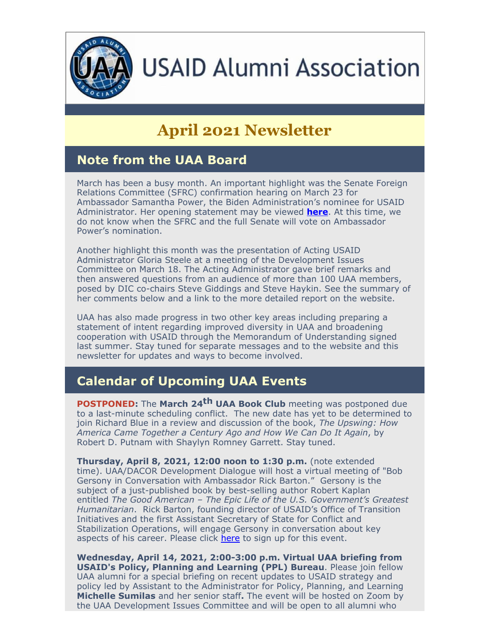

# **USAID Alumni Association**

## **April 2021 Newsletter**

## **Note from the UAA Board**

March has been a busy month. An important highlight was the Senate Foreign Relations Committee (SFRC) confirmation hearing on March 23 for Ambassador Samantha Power, the Biden Administration's nominee for USAID Administrator. Her opening statement may be viewed **[here](https://www.usaidalumni.org/wp-content/uploads/2021/04/Power-Testimony-SFRC-03.23.2021.pdf)**. At this time, we do not know when the SFRC and the full Senate will vote on Ambassador Power's nomination.

Another highlight this month was the presentation of Acting USAID Administrator Gloria Steele at a meeting of the Development Issues Committee on March 18. The Acting Administrator gave brief remarks and then answered questions from an audience of more than 100 UAA members, posed by DIC co-chairs Steve Giddings and Steve Haykin. See the summary of her comments below and a link to the more detailed report on the website.

UAA has also made progress in two other key areas including preparing a statement of intent regarding improved diversity in UAA and broadening cooperation with USAID through the Memorandum of Understanding signed last summer. Stay tuned for separate messages and to the website and this newsletter for updates and ways to become involved.

### **Calendar of Upcoming UAA Events**

**POSTPONED:** The **March 24th UAA Book Club** meeting was postponed due to a last-minute scheduling conflict. The new date has yet to be determined to join Richard Blue in a review and discussion of the book, *The Upswing: How America Came Together a Century Ago and How We Can Do It Again*, by Robert D. Putnam with Shaylyn Romney Garrett. Stay tuned.

**Thursday, April 8, 2021, 12:00 noon to 1:30 p.m.** (note extended time). UAA/DACOR Development Dialogue will host a virtual meeting of "Bob Gersony in Conversation with Ambassador Rick Barton." Gersony is the subject of a just-published book by best-selling author Robert Kaplan entitled *The Good American – The Epic Life of the U.S. Government's Greatest Humanitarian*. Rick Barton, founding director of USAID's Office of Transition Initiatives and the first Assistant Secretary of State for Conflict and Stabilization Operations, will engage Gersony in conversation about key aspects of his career. Please click [here](https://mms.dacorbacon.org/Calendar/moreinfo.php?eventid=31299) to sign up for this event.

**Wednesday, April 14, 2021, 2:00-3:00 p.m. Virtual UAA briefing from USAID's Policy, Planning and Learning (PPL) Bureau**. Please join fellow UAA alumni for a special briefing on recent updates to USAID strategy and policy led by Assistant to the Administrator for Policy, Planning, and Learning **Michelle Sumilas** and her senior staff**.** The event will be hosted on Zoom by the UAA Development Issues Committee and will be open to all alumni who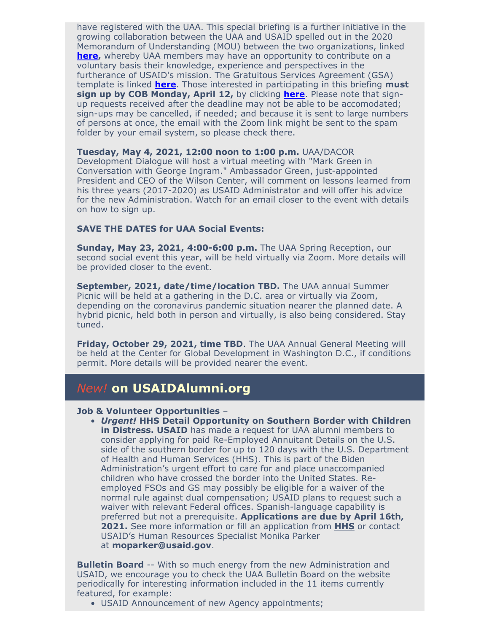have registered with the UAA. This special briefing is a further initiative in the growing collaboration between the UAA and USAID spelled out in the 2020 Memorandum of Understanding (MOU) between the two organizations, linked **[here,](https://www.usaidalumni.org/wp-content/uploads/2021/04/Signed-MOU-with-USAID.pdf)** whereby UAA members may have an opportunity to contribute on a voluntary basis their knowledge, experience and perspectives in the furtherance of USAID's mission. The Gratuitous Services Agreement (GSA) template is linked **[here](https://www.usaidalumni.org/wp-content/uploads/2021/04/Template_-USAID-Gratuitous-Services-Agreement-Template-UAA-and-USAID.pdf)**. Those interested in participating in this briefing **must sign up by COB Monday, April 12,** by clicking **[here](https://conta.cc/2PN2Koa)**. Please note that signup requests received after the deadline may not be able to be accomodated; sign-ups may be cancelled, if needed; and because it is sent to large numbers of persons at once, the email with the Zoom link might be sent to the spam folder by your email system, so please check there.

**Tuesday, May 4, 2021, 12:00 noon to 1:00 p.m.** UAA/DACOR Development Dialogue will host a virtual meeting with "Mark Green in Conversation with George Ingram." Ambassador Green, just-appointed President and CEO of the Wilson Center, will comment on lessons learned from his three years (2017-2020) as USAID Administrator and will offer his advice for the new Administration. Watch for an email closer to the event with details on how to sign up.

#### **SAVE THE DATES for UAA Social Events:**

**Sunday, May 23, 2021, 4:00-6:00 p.m.** The UAA Spring Reception, our second social event this year, will be held virtually via Zoom. More details will be provided closer to the event.

**September, 2021, date/time/location TBD.** The UAA annual Summer Picnic will be held at a gathering in the D.C. area or virtually via Zoom, depending on the coronavirus pandemic situation nearer the planned date. A hybrid picnic, held both in person and virtually, is also being considered. Stay tuned.

**Friday, October 29, 2021, time TBD**. The UAA Annual General Meeting will be held at the Center for Global Development in Washington D.C., if conditions permit. More details will be provided nearer the event.

#### *New!* **on USAIDAlumni.org**

#### **Job & Volunteer Opportunities** –

*Urgent!* **HHS Detail Opportunity on Southern Border with Children in Distress. USAID** has made a request for UAA alumni members to consider applying for paid Re-Employed Annuitant Details on the U.S. side of the southern border for up to 120 days with the U.S. Department of Health and Human Services (HHS). This is part of the Biden Administration's urgent effort to care for and place unaccompanied children who have crossed the border into the United States. Reemployed FSOs and GS may possibly be eligible for a waiver of the normal rule against dual compensation; USAID plans to request such a waiver with relevant Federal offices. Spanish-language capability is preferred but not a prerequisite. **Applications are due by April 16th, 2021.** See more information or fill an application from **[HHS](https://www.usajobs.gov/GetJob/ViewDetails/596318100)** or contact USAID's Human Resources Specialist Monika Parker at **moparker@usaid.gov**.

**Bulletin Board** -- With so much energy from the new Administration and USAID, we encourage you to check the UAA Bulletin Board on the website periodically for interesting information included in the 11 items currently featured, for example:

USAID Announcement of new Agency appointments;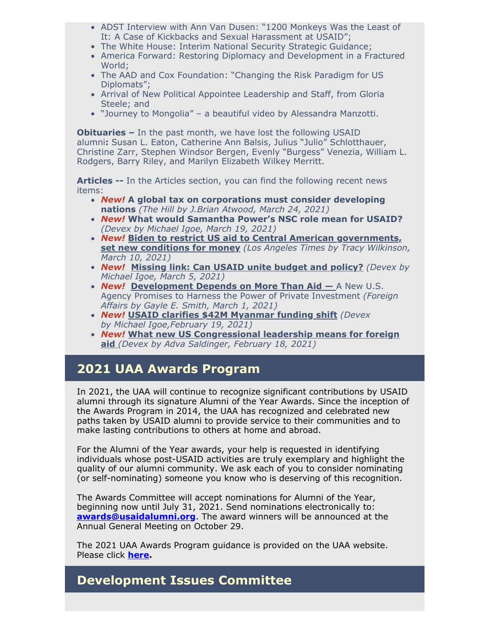- ADST Interview with Ann Van Dusen: "1200 Monkeys Was the Least of It: A Case of Kickbacks and Sexual Harassment at USAID":
- The White House: Interim National Security Strategic Guidance;
- America Forward: Restoring Diplomacy and Development in a Fractured World;
- The AAD and Cox Foundation: "Changing the Risk Paradigm for US Diplomats";
- Arrival of New Political Appointee Leadership and Staff, from Gloria Steele; and
- "Journey to Mongolia" a beautiful video by Alessandra Manzotti.

**Obituaries –** In the past month, we have lost the following USAID alumni**:** Susan L. Eaton, Catherine Ann Balsis, Julius "Julio" Schlotthauer, Christine Zarr, Stephen Windsor Bergen, Evenly "Burgess" Venezia, William L. Rodgers, Barry Riley, and Marilyn Elizabeth Wilkey Merritt.

**Articles --** In the Articles section, you can find the following recent news items:

- *New!* **A global tax on corporations must consider developing nations** *(The Hill by J.Brian Atwood, March 24, 2021)*
- *New!* **[What would Samantha Power's NSC role mean for USAID?](https://www.devex.com/news/what-would-samantha-power-s-nsc-role-mean-for-usaid-99446?)** *(Devex by Michael Igoe, March 19, 2021)*
- *New!* **[Biden to restrict US aid to Central American governments,](https://www.gazettextra.com/news/nation_world/biden-to-restrict-us-aid-to-central-american-governments-set-new-conditions-for-money/article_9d1aa0d7-9ee0-5933-8747-17839c3c3c37.html) set new conditions for money** *(Los Angeles Times by Tracy Wilkinson, March 10, 2021)*
- *New!* **[Missing link: Can USAID unite budget and policy?](https://www.devex.com/news/missing-link-can-usaid-unite-budget-and-policy-99279)** *(Devex by Michael Igoe, March 5, 2021)*
- *New!* **[Development Depends on More Than Aid](https://www.foreignaffairs.com/articles/united-states/2021-03-01/development-depends-more-aid)** A New U.S. Agency Promises to Harness the Power of Private Investment *(Foreign Affairs by Gayle E. Smith, March 1, 2021)*
- *New!* **[USAID clarifies \\$42M Myanmar funding shift](https://www.devex.com/news/in-brief-usaid-clarifies-42m-myanmar-funding-shift-99209)** *(Devex by Michael Igoe,February 19, 2021)*
- *New!* **[What new US Congressional leadership means for foreign](https://www.devex.com/news/what-new-us-congressional-leadership-means-for-foreign-aid-99185) aid** *(Devex by Adva Saldinger, February 18, 2021)*

### **2021 UAA Awards Program**

In 2021, the UAA will continue to recognize significant contributions by USAID alumni through its signature Alumni of the Year Awards. Since the inception of the Awards Program in 2014, the UAA has recognized and celebrated new paths taken by USAID alumni to provide service to their communities and to make lasting contributions to others at home and abroad.

For the Alumni of the Year awards, your help is requested in identifying individuals whose post-USAID activities are truly exemplary and highlight the quality of our alumni community. We ask each of you to consider nominating (or self-nominating) someone you know who is deserving of this recognition.

The Awards Committee will accept nominations for Alumni of the Year, beginning now until July 31, 2021. Send nominations electronically to: **[awards@usaidalumni.org](mailto:awards@usaidalumni.org)**. The award winners will be announced at the Annual General Meeting on October 29.

The 2021 UAA Awards Program guidance is provided on the UAA website. Please click **[here.](https://www.usaidalumni.org/wp-content/uploads/2021/04/UAA-Awards-Announcement-and-Guidance-2021.pdf)**

#### **Development Issues Committee**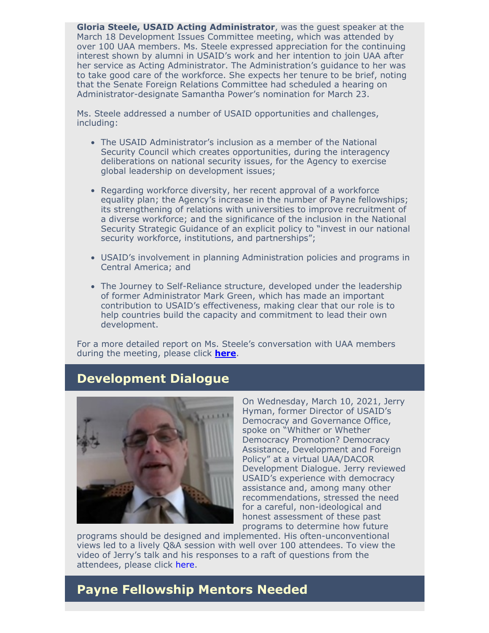**Gloria Steele, USAID Acting Administrator**, was the guest speaker at the March 18 Development Issues Committee meeting, which was attended by over 100 UAA members. Ms. Steele expressed appreciation for the continuing interest shown by alumni in USAID's work and her intention to join UAA after her service as Acting Administrator. The Administration's guidance to her was to take good care of the workforce. She expects her tenure to be brief, noting that the Senate Foreign Relations Committee had scheduled a hearing on Administrator-designate Samantha Power's nomination for March 23.

Ms. Steele addressed a number of USAID opportunities and challenges, including:

- The USAID Administrator's inclusion as a member of the National Security Council which creates opportunities, during the interagency deliberations on national security issues, for the Agency to exercise global leadership on development issues;
- Regarding workforce diversity, her recent approval of a workforce equality plan; the Agency's increase in the number of Payne fellowships; its strengthening of relations with universities to improve recruitment of a diverse workforce; and the significance of the inclusion in the National Security Strategic Guidance of an explicit policy to "invest in our national security workforce, institutions, and partnerships";
- USAID's involvement in planning Administration policies and programs in Central America; and
- The Journey to Self-Reliance structure, developed under the leadership of former Administrator Mark Green, which has made an important contribution to USAID's effectiveness, making clear that our role is to help countries build the capacity and commitment to lead their own development.

For a more detailed report on Ms. Steele's conversation with UAA members during the meeting, please click **[here](https://www.usaidalumni.org/wp-content/uploads/2021/04/UAA-DIC-Steele-3.18.2021-Michel-report.pdf)**.

### **Development Dialogue**



On Wednesday, March 10, 2021, Jerry Hyman, former Director of USAID's Democracy and Governance Office, spoke on "Whither or Whether Democracy Promotion? Democracy Assistance, Development and Foreign Policy" at a virtual UAA/DACOR Development Dialogue. Jerry reviewed USAID's experience with democracy assistance and, among many other recommendations, stressed the need for a careful, non-ideological and honest assessment of these past programs to determine how future

programs should be designed and implemented. His often-unconventional views led to a lively Q&A session with well over 100 attendees. To view the video of Jerry's talk and his responses to a raft of questions from the attendees, please click [here](https://vimeo.com/522083263/10e58cac3b).

#### **Payne Fellowship Mentors Needed**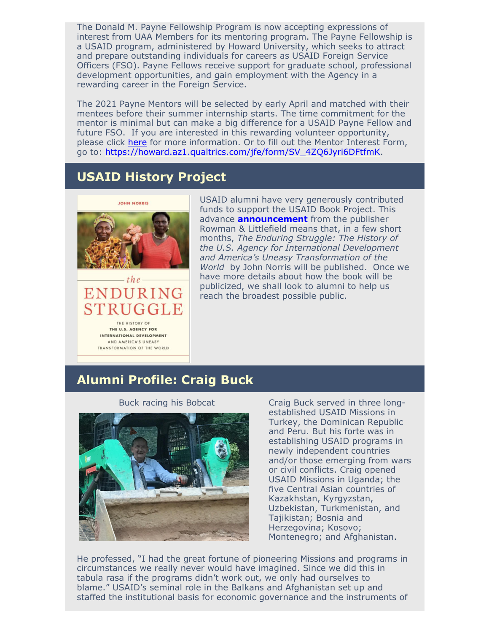The Donald M. Payne Fellowship Program is now accepting expressions of interest from UAA Members for its mentoring program. The Payne Fellowship is a USAID program, administered by Howard University, which seeks to attract and prepare outstanding individuals for careers as USAID Foreign Service Officers (FSO). Payne Fellows receive support for graduate school, professional development opportunities, and gain employment with the Agency in a rewarding career in the Foreign Service.

The 2021 Payne Mentors will be selected by early April and matched with their mentees before their summer internship starts. The time commitment for the mentor is minimal but can make a big difference for a USAID Payne Fellow and future FSO. If you are interested in this rewarding volunteer opportunity, please click [here](https://www.paynefellows.org/graduate-fellowship-program/payne-program-overview/) for more information. Or to fill out the Mentor Interest Form, go to: [https://howard.az1.qualtrics.com/jfe/form/SV\\_4ZQ6Jyri6DFtfmK](https://howard.az1.qualtrics.com/jfe/form/SV_4ZQ6Jyri6DFtfmK).

#### **USAID History Project**



 $the$ **ENDURING** STRUGGLE

> THE HISTORY OF THE U.S. AGENCY FOR INTERNATIONAL DEVELOPMENT AND AMERICA'S UNFASY TRANSFORMATION OF THE WORLD

USAID alumni have very generously contributed funds to support the USAID Book Project. This advance **[announcement](https://rowman.com/ISBN/9781538154670/The-Enduring-Struggle-The-History-of-the-U-S-Agency-for-International-Development-and-America%E2%80%99s-Uneasy-Transformation-of-the-World)** from the publisher Rowman & Littlefield means that, in a few short months, *The Enduring Struggle: The History of the U.S. Agency for International Development and America's Uneasy Transformation of the World* by John Norris will be published. Once we have more details about how the book will be publicized, we shall look to alumni to help us reach the broadest possible public.

#### **Alumni Profile: Craig Buck**



Buck racing his Bobcat Craig Buck served in three longestablished USAID Missions in Turkey, the Dominican Republic and Peru. But his forte was in establishing USAID programs in newly independent countries and/or those emerging from wars or civil conflicts. Craig opened USAID Missions in Uganda; the five Central Asian countries of Kazakhstan, Kyrgyzstan, Uzbekistan, Turkmenistan, and Tajikistan; Bosnia and Herzegovina; Kosovo; Montenegro; and Afghanistan.

He professed, "I had the great fortune of pioneering Missions and programs in circumstances we really never would have imagined. Since we did this in tabula rasa if the programs didn't work out, we only had ourselves to blame." USAID's seminal role in the Balkans and Afghanistan set up and staffed the institutional basis for economic governance and the instruments of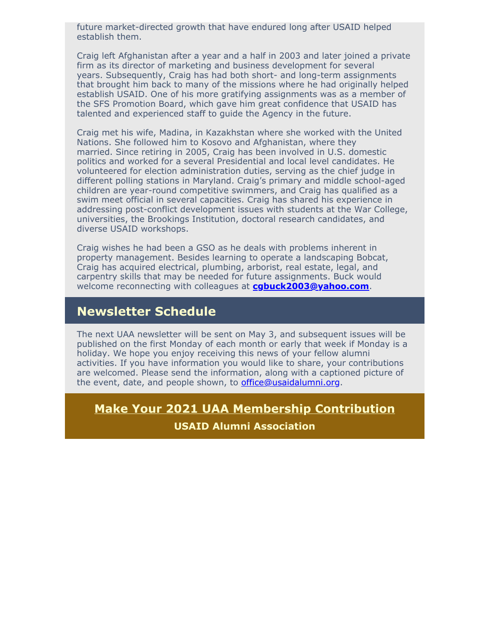future market-directed growth that have endured long after USAID helped establish them.

Craig left Afghanistan after a year and a half in 2003 and later joined a private firm as its director of marketing and business development for several years. Subsequently, Craig has had both short- and long-term assignments that brought him back to many of the missions where he had originally helped establish USAID. One of his more gratifying assignments was as a member of the SFS Promotion Board, which gave him great confidence that USAID has talented and experienced staff to guide the Agency in the future.

Craig met his wife, Madina, in Kazakhstan where she worked with the United Nations. She followed him to Kosovo and Afghanistan, where they married. Since retiring in 2005, Craig has been involved in U.S. domestic politics and worked for a several Presidential and local level candidates. He volunteered for election administration duties, serving as the chief judge in different polling stations in Maryland. Craig's primary and middle school-aged children are year-round competitive swimmers, and Craig has qualified as a swim meet official in several capacities. Craig has shared his experience in addressing post-conflict development issues with students at the War College, universities, the Brookings Institution, doctoral research candidates, and diverse USAID workshops.

Craig wishes he had been a GSO as he deals with problems inherent in property management. Besides learning to operate a landscaping Bobcat, Craig has acquired electrical, plumbing, arborist, real estate, legal, and carpentry skills that may be needed for future assignments. Buck would welcome reconnecting with colleagues at **[cgbuck2003@yahoo.com](mailto:cgbuck2003@yahoo.com)**.

#### **Newsletter Schedule**

The next UAA newsletter will be sent on May 3, and subsequent issues will be published on the first Monday of each month or early that week if Monday is a holiday. We hope you enjoy receiving this news of your fellow alumni activities. If you have information you would like to share, your contributions are welcomed. Please send the information, along with a captioned picture of the event, date, and people shown, to **office@usaidalumni.org**.

#### **[Make Your 2021 UAA Membership Contribution](https://connect.clickandpledge.com/w/Form/ea832b5e-4175-41e4-adc0-f76ac7b7a7d1)**

**USAID Alumni Association**